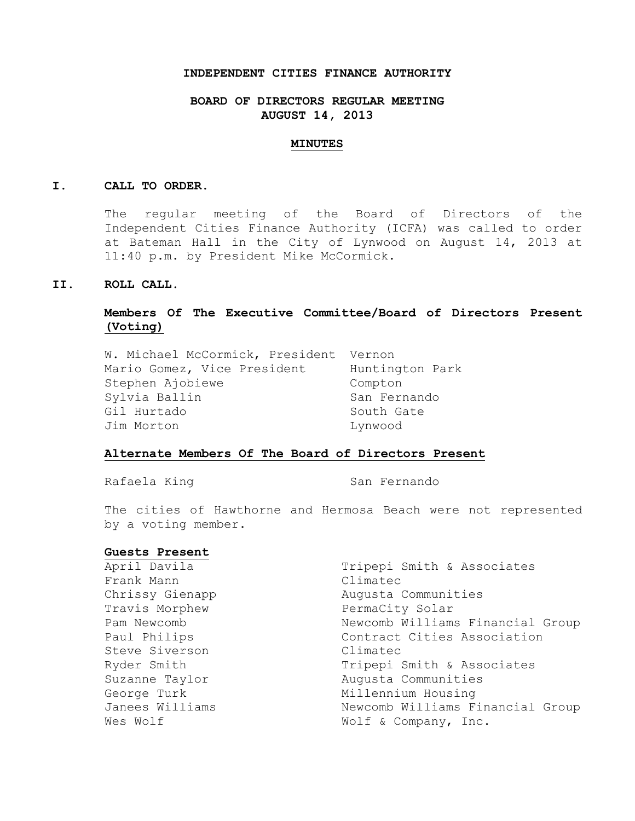#### **INDEPENDENT CITIES FINANCE AUTHORITY**

## **BOARD OF DIRECTORS REGULAR MEETING AUGUST 14, 2013**

### **MINUTES**

#### **I. CALL TO ORDER.**

The regular meeting of the Board of Directors of the Independent Cities Finance Authority (ICFA) was called to order at Bateman Hall in the City of Lynwood on August 14, 2013 at 11:40 p.m. by President Mike McCormick.

## **II. ROLL CALL.**

# **Members Of The Executive Committee/Board of Directors Present (Voting)**

| W. Michael McCormick, President Vernon |                 |
|----------------------------------------|-----------------|
| Mario Gomez, Vice President            | Huntington Park |
| Stephen Ajobiewe                       | Compton         |
| Sylvia Ballin                          | San Fernando    |
| Gil Hurtado                            | South Gate      |
| Jim Morton                             | Lynwood         |

## **Alternate Members Of The Board of Directors Present**

Rafaela King San Fernando

The cities of Hawthorne and Hermosa Beach were not represented by a voting member.

### **Guests Present**

| April Davila    | Tripepi Smith & Associates       |
|-----------------|----------------------------------|
| Frank Mann      | Climatec                         |
| Chrissy Gienapp | Augusta Communities              |
| Travis Morphew  | PermaCity Solar                  |
| Pam Newcomb     | Newcomb Williams Financial Group |
| Paul Philips    | Contract Cities Association      |
| Steve Siverson  | Climatec                         |
| Ryder Smith     | Tripepi Smith & Associates       |
| Suzanne Taylor  | Augusta Communities              |
| George Turk     | Millennium Housing               |
| Janees Williams | Newcomb Williams Financial Group |
| Wes Wolf        | Wolf & Company, Inc.             |
|                 |                                  |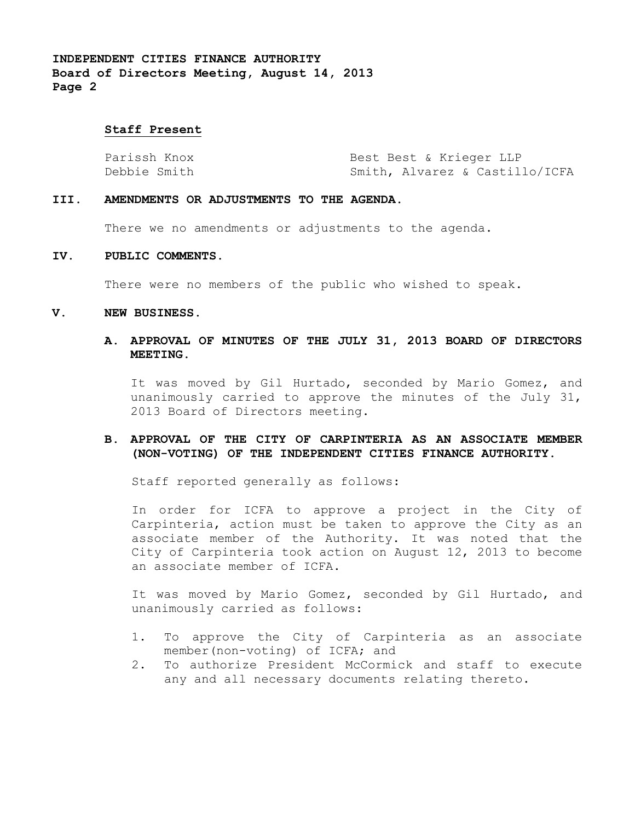### **Staff Present**

| Parissh Knox | Best Best & Krieger LLP        |
|--------------|--------------------------------|
| Debbie Smith | Smith, Alvarez & Castillo/ICFA |

#### **III. AMENDMENTS OR ADJUSTMENTS TO THE AGENDA.**

There we no amendments or adjustments to the agenda.

### **IV. PUBLIC COMMENTS.**

There were no members of the public who wished to speak.

#### **V. NEW BUSINESS.**

## **A. APPROVAL OF MINUTES OF THE JULY 31, 2013 BOARD OF DIRECTORS MEETING.**

It was moved by Gil Hurtado, seconded by Mario Gomez, and unanimously carried to approve the minutes of the July 31, 2013 Board of Directors meeting.

## **B. APPROVAL OF THE CITY OF CARPINTERIA AS AN ASSOCIATE MEMBER (NON-VOTING) OF THE INDEPENDENT CITIES FINANCE AUTHORITY.**

Staff reported generally as follows:

In order for ICFA to approve a project in the City of Carpinteria, action must be taken to approve the City as an associate member of the Authority. It was noted that the City of Carpinteria took action on August 12, 2013 to become an associate member of ICFA.

It was moved by Mario Gomez, seconded by Gil Hurtado, and unanimously carried as follows:

- 1. To approve the City of Carpinteria as an associate member(non-voting) of ICFA; and
- 2. To authorize President McCormick and staff to execute any and all necessary documents relating thereto.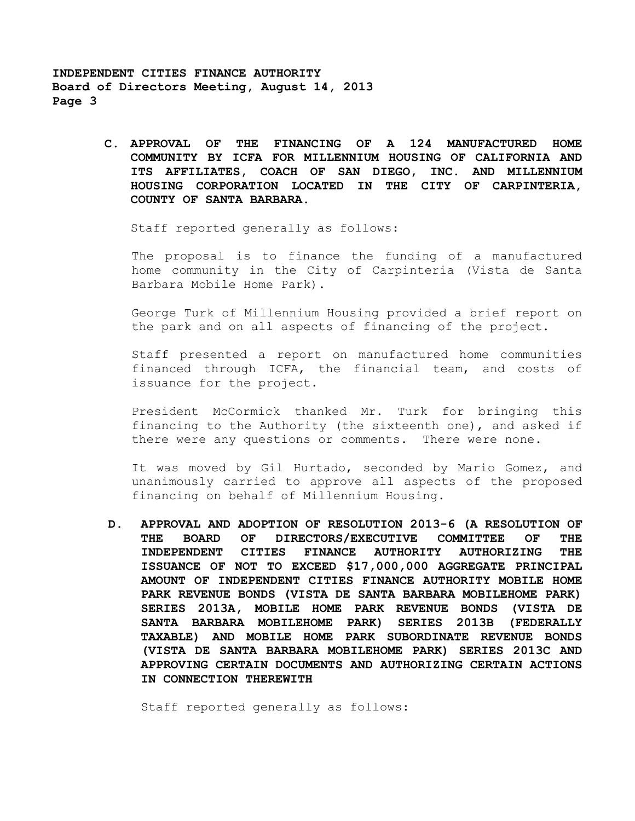> **C. APPROVAL OF THE FINANCING OF A 124 MANUFACTURED HOME COMMUNITY BY ICFA FOR MILLENNIUM HOUSING OF CALIFORNIA AND ITS AFFILIATES, COACH OF SAN DIEGO, INC. AND MILLENNIUM HOUSING CORPORATION LOCATED IN THE CITY OF CARPINTERIA, COUNTY OF SANTA BARBARA.**

Staff reported generally as follows:

The proposal is to finance the funding of a manufactured home community in the City of Carpinteria (Vista de Santa Barbara Mobile Home Park).

George Turk of Millennium Housing provided a brief report on the park and on all aspects of financing of the project.

Staff presented a report on manufactured home communities financed through ICFA, the financial team, and costs of issuance for the project.

President McCormick thanked Mr. Turk for bringing this financing to the Authority (the sixteenth one), and asked if there were any questions or comments. There were none.

It was moved by Gil Hurtado, seconded by Mario Gomez, and unanimously carried to approve all aspects of the proposed financing on behalf of Millennium Housing.

**D. APPROVAL AND ADOPTION OF RESOLUTION 2013-6 (A RESOLUTION OF THE BOARD OF DIRECTORS/EXECUTIVE COMMITTEE OF THE INDEPENDENT CITIES FINANCE AUTHORITY AUTHORIZING THE ISSUANCE OF NOT TO EXCEED \$17,000,000 AGGREGATE PRINCIPAL AMOUNT OF INDEPENDENT CITIES FINANCE AUTHORITY MOBILE HOME PARK REVENUE BONDS (VISTA DE SANTA BARBARA MOBILEHOME PARK) SERIES 2013A, MOBILE HOME PARK REVENUE BONDS (VISTA DE SANTA BARBARA MOBILEHOME PARK) SERIES 2013B (FEDERALLY TAXABLE) AND MOBILE HOME PARK SUBORDINATE REVENUE BONDS (VISTA DE SANTA BARBARA MOBILEHOME PARK) SERIES 2013C AND APPROVING CERTAIN DOCUMENTS AND AUTHORIZING CERTAIN ACTIONS IN CONNECTION THEREWITH**

Staff reported generally as follows: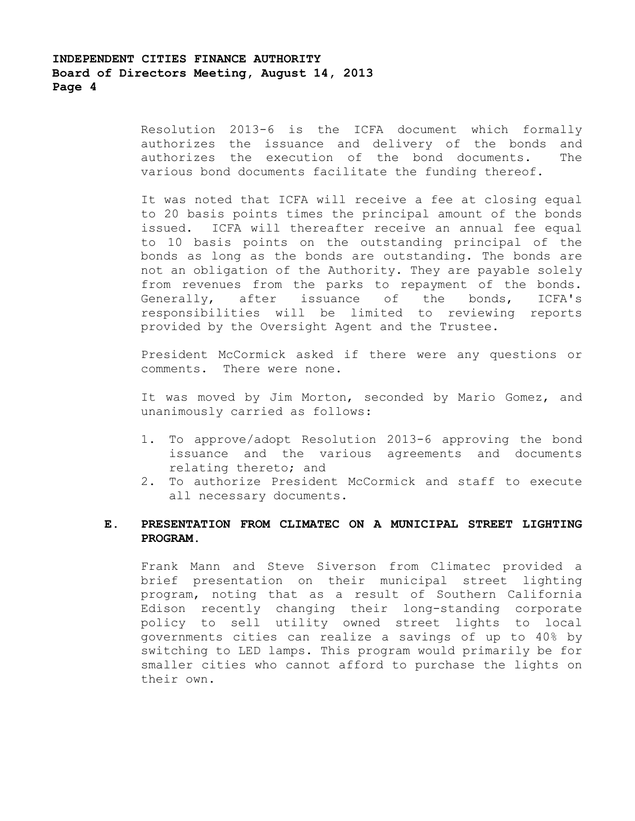Resolution 2013-6 is the ICFA document which formally authorizes the issuance and delivery of the bonds and authorizes the execution of the bond documents. The various bond documents facilitate the funding thereof.

It was noted that ICFA will receive a fee at closing equal to 20 basis points times the principal amount of the bonds issued. ICFA will thereafter receive an annual fee equal to 10 basis points on the outstanding principal of the bonds as long as the bonds are outstanding. The bonds are not an obligation of the Authority. They are payable solely from revenues from the parks to repayment of the bonds. Generally, after issuance of the bonds, ICFA's responsibilities will be limited to reviewing reports provided by the Oversight Agent and the Trustee.

President McCormick asked if there were any questions or comments. There were none.

It was moved by Jim Morton, seconded by Mario Gomez, and unanimously carried as follows:

- 1. To approve/adopt Resolution 2013-6 approving the bond issuance and the various agreements and documents relating thereto; and
- 2. To authorize President McCormick and staff to execute all necessary documents.

# **E. PRESENTATION FROM CLIMATEC ON A MUNICIPAL STREET LIGHTING PROGRAM.**

Frank Mann and Steve Siverson from Climatec provided a brief presentation on their municipal street lighting program, noting that as a result of Southern California Edison recently changing their long-standing corporate policy to sell utility owned street lights to local governments cities can realize a savings of up to 40% by switching to LED lamps. This program would primarily be for smaller cities who cannot afford to purchase the lights on their own.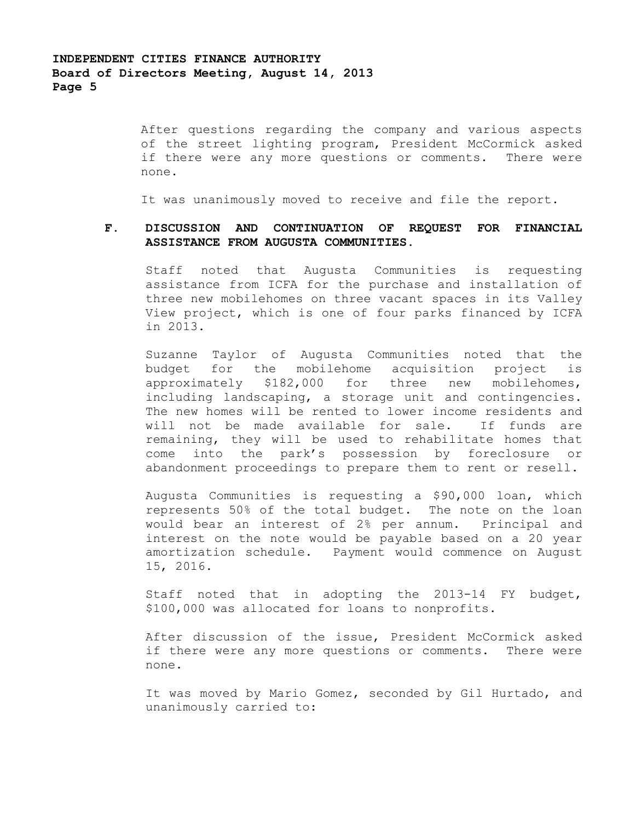After questions regarding the company and various aspects of the street lighting program, President McCormick asked if there were any more questions or comments. There were none.

It was unanimously moved to receive and file the report.

# **F. DISCUSSION AND CONTINUATION OF REQUEST FOR FINANCIAL ASSISTANCE FROM AUGUSTA COMMUNITIES.**

Staff noted that Augusta Communities is requesting assistance from ICFA for the purchase and installation of three new mobilehomes on three vacant spaces in its Valley View project, which is one of four parks financed by ICFA in 2013.

Suzanne Taylor of Augusta Communities noted that the budget for the mobilehome acquisition project is approximately \$182,000 for three new mobilehomes, including landscaping, a storage unit and contingencies. The new homes will be rented to lower income residents and will not be made available for sale. If funds are remaining, they will be used to rehabilitate homes that come into the park's possession by foreclosure or abandonment proceedings to prepare them to rent or resell.

Augusta Communities is requesting a \$90,000 loan, which represents 50% of the total budget. The note on the loan would bear an interest of 2% per annum. Principal and interest on the note would be payable based on a 20 year amortization schedule. Payment would commence on August 15, 2016.

Staff noted that in adopting the 2013-14 FY budget, \$100,000 was allocated for loans to nonprofits.

After discussion of the issue, President McCormick asked if there were any more questions or comments. There were none.

It was moved by Mario Gomez, seconded by Gil Hurtado, and unanimously carried to: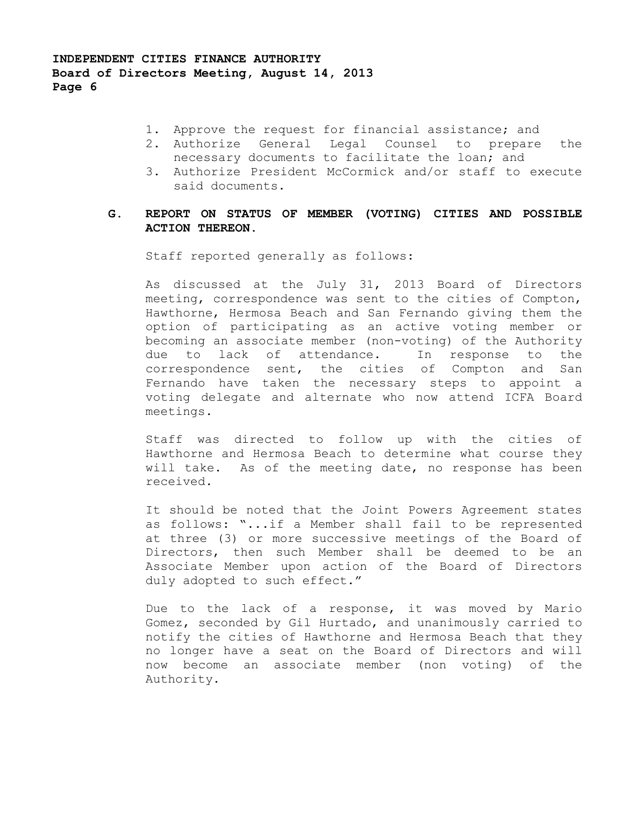- 1. Approve the request for financial assistance; and
- 2. Authorize General Legal Counsel to prepare the necessary documents to facilitate the loan; and
- 3. Authorize President McCormick and/or staff to execute said documents.

# **G. REPORT ON STATUS OF MEMBER (VOTING) CITIES AND POSSIBLE ACTION THEREON.**

Staff reported generally as follows:

As discussed at the July 31, 2013 Board of Directors meeting, correspondence was sent to the cities of Compton, Hawthorne, Hermosa Beach and San Fernando giving them the option of participating as an active voting member or becoming an associate member (non-voting) of the Authority due to lack of attendance. In response to the correspondence sent, the cities of Compton and San Fernando have taken the necessary steps to appoint a voting delegate and alternate who now attend ICFA Board meetings.

Staff was directed to follow up with the cities of Hawthorne and Hermosa Beach to determine what course they will take. As of the meeting date, no response has been received.

It should be noted that the Joint Powers Agreement states as follows: "...if a Member shall fail to be represented at three (3) or more successive meetings of the Board of Directors, then such Member shall be deemed to be an Associate Member upon action of the Board of Directors duly adopted to such effect."

Due to the lack of a response, it was moved by Mario Gomez, seconded by Gil Hurtado, and unanimously carried to notify the cities of Hawthorne and Hermosa Beach that they no longer have a seat on the Board of Directors and will now become an associate member (non voting) of the Authority.